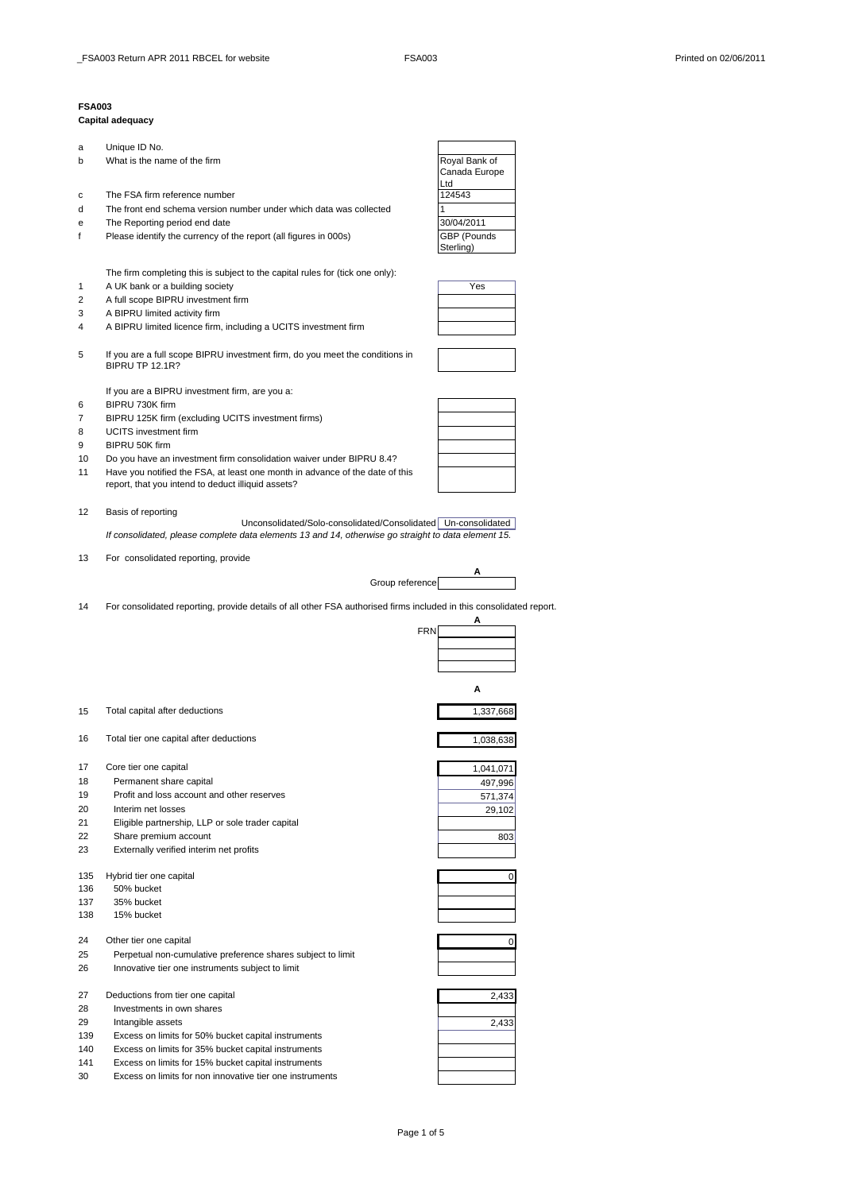## **FSA003**

## **Capital adequacy**

| а         | Unique ID No.                                                                                                       |                    |  |
|-----------|---------------------------------------------------------------------------------------------------------------------|--------------------|--|
| b         | What is the name of the firm                                                                                        | Royal Bank of      |  |
|           |                                                                                                                     | Canada Europe      |  |
|           |                                                                                                                     | Ltd                |  |
| с         | The FSA firm reference number                                                                                       | 124543             |  |
| d         | The front end schema version number under which data was collected                                                  | 1                  |  |
|           | The Reporting period end date                                                                                       | 30/04/2011         |  |
| е         |                                                                                                                     |                    |  |
| f         | Please identify the currency of the report (all figures in 000s)                                                    | <b>GBP</b> (Pounds |  |
|           |                                                                                                                     | Sterling)          |  |
|           |                                                                                                                     |                    |  |
|           | The firm completing this is subject to the capital rules for (tick one only):                                       |                    |  |
| 1         | A UK bank or a building society                                                                                     | Yes                |  |
| 2         | A full scope BIPRU investment firm                                                                                  |                    |  |
| 3         | A BIPRU limited activity firm                                                                                       |                    |  |
|           |                                                                                                                     |                    |  |
| 4         | A BIPRU limited licence firm, including a UCITS investment firm                                                     |                    |  |
|           |                                                                                                                     |                    |  |
| 5         | If you are a full scope BIPRU investment firm, do you meet the conditions in<br><b>BIPRU TP 12.1R?</b>              |                    |  |
|           |                                                                                                                     |                    |  |
|           |                                                                                                                     |                    |  |
|           | If you are a BIPRU investment firm, are you a:                                                                      |                    |  |
| 6         | BIPRU 730K firm                                                                                                     |                    |  |
| 7         | BIPRU 125K firm (excluding UCITS investment firms)                                                                  |                    |  |
| 8         | <b>UCITS</b> investment firm                                                                                        |                    |  |
| 9         | BIPRU 50K firm                                                                                                      |                    |  |
| 10        | Do you have an investment firm consolidation waiver under BIPRU 8.4?                                                |                    |  |
|           |                                                                                                                     |                    |  |
| 11        | Have you notified the FSA, at least one month in advance of the date of this                                        |                    |  |
|           | report, that you intend to deduct illiquid assets?                                                                  |                    |  |
|           |                                                                                                                     |                    |  |
| 12        | Basis of reporting                                                                                                  |                    |  |
|           | Unconsolidated/Solo-consolidated/Consolidated   Un-consolidated                                                     |                    |  |
|           | If consolidated, please complete data elements 13 and 14, otherwise go straight to data element 15.                 |                    |  |
|           |                                                                                                                     |                    |  |
| 13        | For consolidated reporting, provide                                                                                 |                    |  |
|           | Group reference                                                                                                     | A                  |  |
|           |                                                                                                                     |                    |  |
|           |                                                                                                                     |                    |  |
|           |                                                                                                                     |                    |  |
| 14        | For consolidated reporting, provide details of all other FSA authorised firms included in this consolidated report. |                    |  |
|           |                                                                                                                     | A                  |  |
|           | <b>FRN</b>                                                                                                          |                    |  |
|           |                                                                                                                     |                    |  |
|           |                                                                                                                     |                    |  |
|           |                                                                                                                     |                    |  |
|           |                                                                                                                     | А                  |  |
|           |                                                                                                                     |                    |  |
| 15        | Total capital after deductions                                                                                      | 1,337,668          |  |
|           |                                                                                                                     |                    |  |
|           |                                                                                                                     |                    |  |
| 16        | Total tier one capital after deductions                                                                             | 1,038,638          |  |
|           |                                                                                                                     |                    |  |
| 17        | Core tier one capital                                                                                               | 1,041,071          |  |
| 18        | Permanent share capital                                                                                             | 497,996            |  |
| 19        | Profit and loss account and other reserves                                                                          | 571,374            |  |
| 20        | Interim net losses                                                                                                  |                    |  |
|           |                                                                                                                     | 29,102             |  |
| 21        | Eligible partnership, LLP or sole trader capital                                                                    |                    |  |
| 22        | Share premium account                                                                                               | 803                |  |
| 23        | Externally verified interim net profits                                                                             |                    |  |
|           |                                                                                                                     |                    |  |
| 135       | Hybrid tier one capital                                                                                             | 0                  |  |
| 136       | 50% bucket                                                                                                          |                    |  |
| 137       | 35% bucket                                                                                                          |                    |  |
| 138       | 15% bucket                                                                                                          |                    |  |
|           |                                                                                                                     |                    |  |
| 24        | Other tier one capital                                                                                              | 0                  |  |
| 25        |                                                                                                                     |                    |  |
|           | Perpetual non-cumulative preference shares subject to limit                                                         |                    |  |
| 26        | Innovative tier one instruments subject to limit                                                                    |                    |  |
|           |                                                                                                                     |                    |  |
| 27        | Deductions from tier one capital                                                                                    | 2,433              |  |
| 28        | Investments in own shares                                                                                           |                    |  |
| 29        | Intangible assets                                                                                                   | 2,433              |  |
| 139       | Excess on limits for 50% bucket capital instruments                                                                 |                    |  |
| 140       |                                                                                                                     |                    |  |
|           | Excess on limits for 35% bucket capital instruments                                                                 |                    |  |
| 141<br>30 | Excess on limits for 15% bucket capital instruments<br>Excess on limits for non innovative tier one instruments     |                    |  |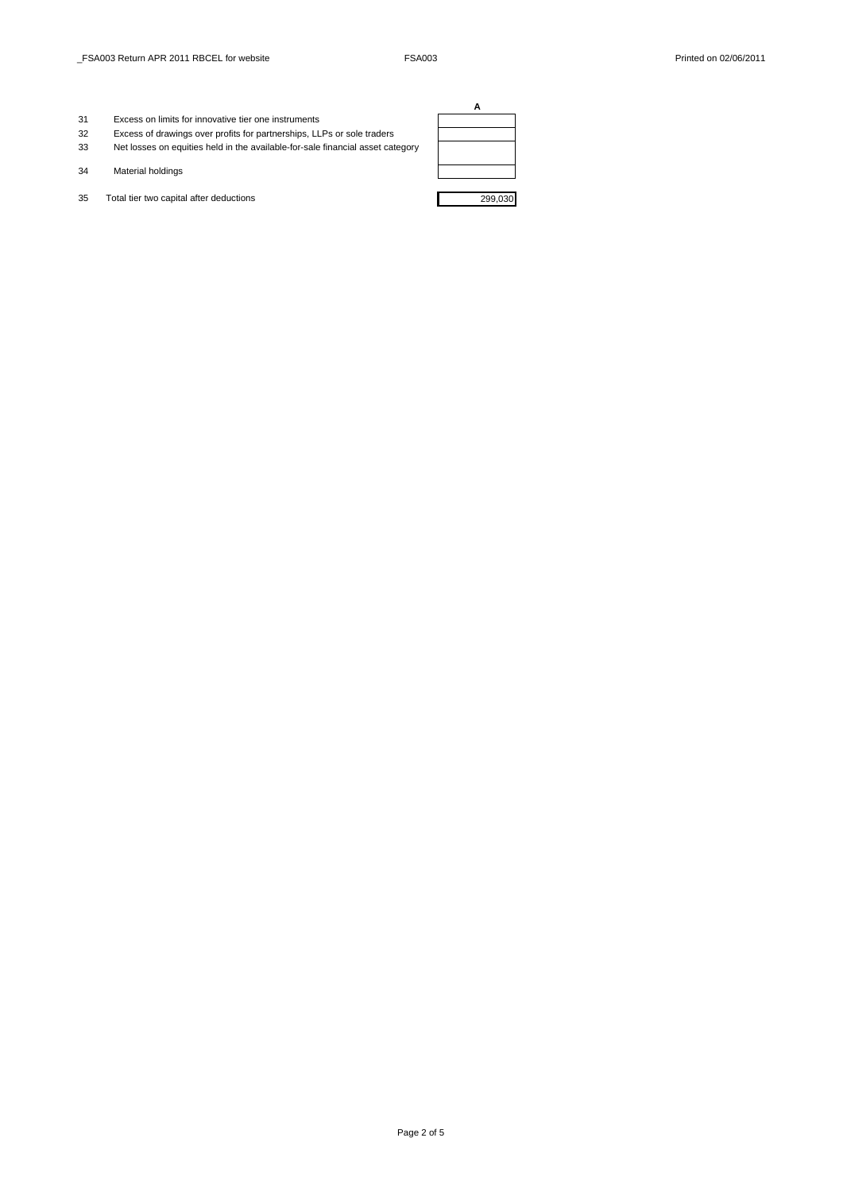- 31 Excess on limits for innovative tier one instruments
- 32 Excess of drawings over profits for partnerships, LLPs or sole traders
- 33 Net losses on equities held in the available-for-sale financial asset category
- 34 Material holdings
- 35 Total tier two capital after deductions 299,030

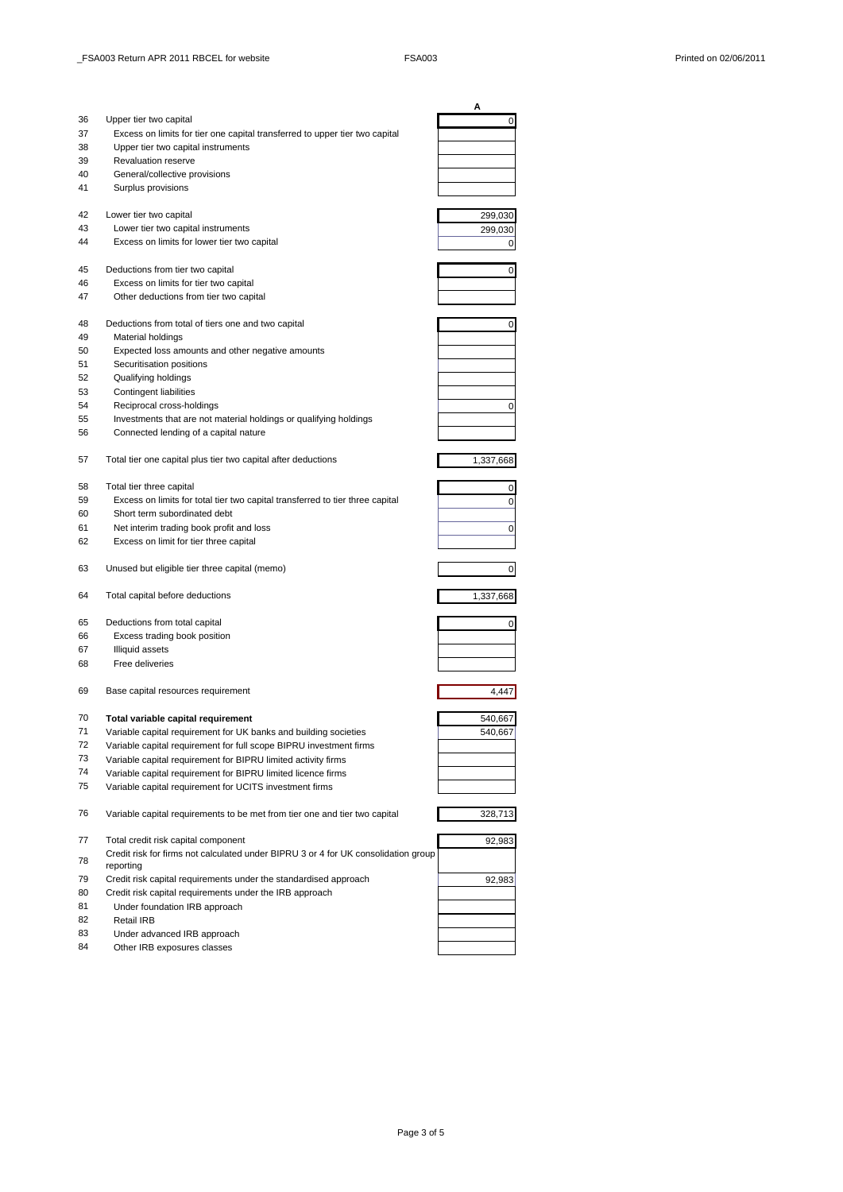|    |                                                                                                 | Α         |
|----|-------------------------------------------------------------------------------------------------|-----------|
| 36 | Upper tier two capital                                                                          | 0         |
| 37 | Excess on limits for tier one capital transferred to upper tier two capital                     |           |
| 38 | Upper tier two capital instruments                                                              |           |
| 39 | <b>Revaluation reserve</b>                                                                      |           |
| 40 | General/collective provisions                                                                   |           |
| 41 | Surplus provisions                                                                              |           |
| 42 | Lower tier two capital                                                                          | 299,030   |
| 43 | Lower tier two capital instruments                                                              | 299,030   |
| 44 | Excess on limits for lower tier two capital                                                     | 0         |
| 45 | Deductions from tier two capital                                                                | 0         |
| 46 | Excess on limits for tier two capital                                                           |           |
| 47 | Other deductions from tier two capital                                                          |           |
| 48 | Deductions from total of tiers one and two capital                                              | 0         |
| 49 | Material holdings                                                                               |           |
| 50 | Expected loss amounts and other negative amounts                                                |           |
|    | Securitisation positions                                                                        |           |
| 51 |                                                                                                 |           |
| 52 | Qualifying holdings                                                                             |           |
| 53 | Contingent liabilities<br>Reciprocal cross-holdings                                             |           |
| 54 |                                                                                                 | 0         |
| 55 | Investments that are not material holdings or qualifying holdings                               |           |
| 56 | Connected lending of a capital nature                                                           |           |
| 57 | Total tier one capital plus tier two capital after deductions                                   | 1,337,668 |
| 58 | Total tier three capital                                                                        | 0         |
| 59 | Excess on limits for total tier two capital transferred to tier three capital                   | 0         |
| 60 | Short term subordinated debt                                                                    |           |
| 61 | Net interim trading book profit and loss                                                        | 0         |
| 62 | Excess on limit for tier three capital                                                          |           |
| 63 | Unused but eligible tier three capital (memo)                                                   | 0         |
| 64 | Total capital before deductions                                                                 | 1,337,668 |
| 65 | Deductions from total capital                                                                   | 0         |
| 66 | Excess trading book position                                                                    |           |
| 67 | <b>Illiquid assets</b>                                                                          |           |
| 68 | Free deliveries                                                                                 |           |
| 69 | Base capital resources requirement                                                              | 4,447     |
|    |                                                                                                 |           |
| 70 | Total variable capital requirement                                                              | 540,667   |
| 71 | Variable capital requirement for UK banks and building societies                                | 540,667   |
| 72 | Variable capital requirement for full scope BIPRU investment firms                              |           |
| 73 | Variable capital requirement for BIPRU limited activity firms                                   |           |
| 74 | Variable capital requirement for BIPRU limited licence firms                                    |           |
| 75 | Variable capital requirement for UCITS investment firms                                         |           |
| 76 | Variable capital requirements to be met from tier one and tier two capital                      | 328,713   |
| 77 | Total credit risk capital component                                                             | 92,983    |
| 78 | Credit risk for firms not calculated under BIPRU 3 or 4 for UK consolidation group<br>reporting |           |
| 79 | Credit risk capital requirements under the standardised approach                                | 92,983    |
| 80 | Credit risk capital requirements under the IRB approach                                         |           |
| 81 | Under foundation IRB approach                                                                   |           |
| 82 | Retail IRB                                                                                      |           |
| 83 | Under advanced IRB approach                                                                     |           |
| 84 | Other IRB exposures classes                                                                     |           |
|    |                                                                                                 |           |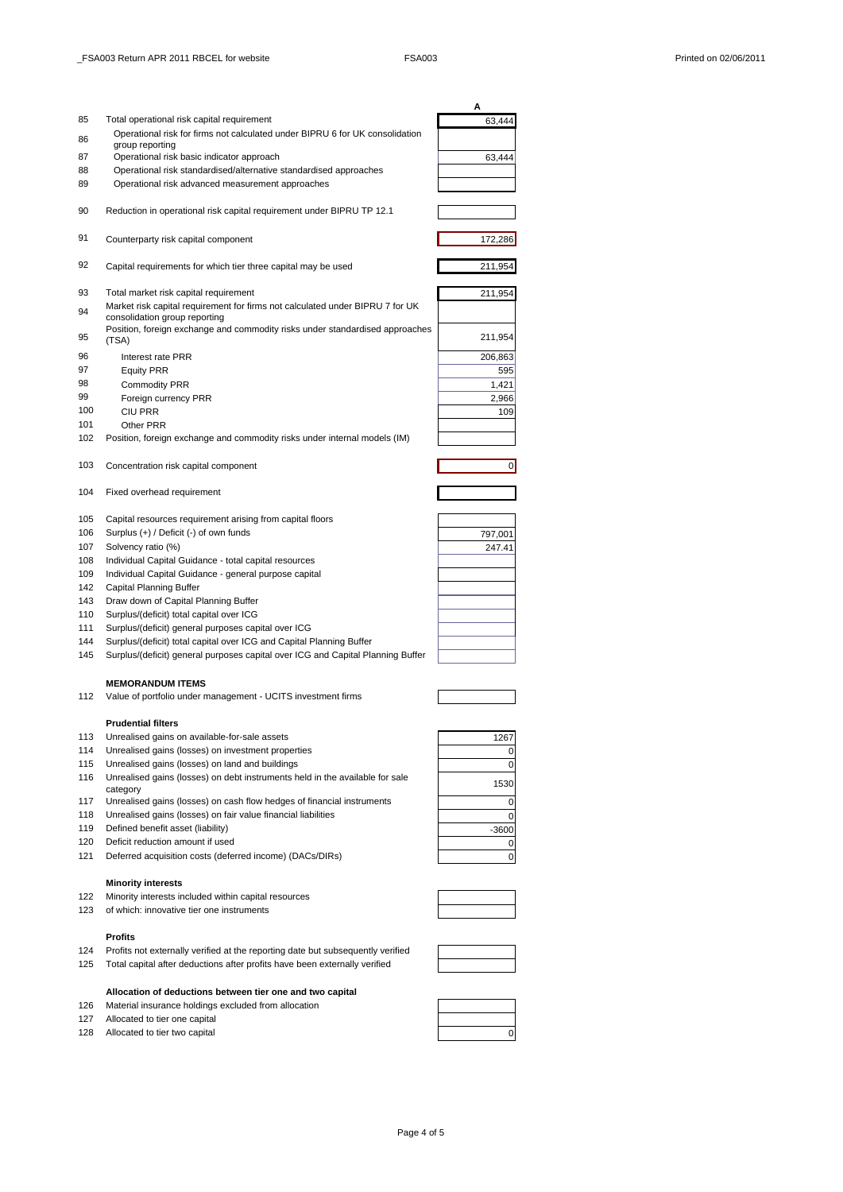|     |                                                                                          | А       |
|-----|------------------------------------------------------------------------------------------|---------|
| 85  | Total operational risk capital requirement                                               | 63,444  |
|     | Operational risk for firms not calculated under BIPRU 6 for UK consolidation             |         |
| 86  | group reporting                                                                          |         |
| 87  | Operational risk basic indicator approach                                                | 63,444  |
| 88  | Operational risk standardised/alternative standardised approaches                        |         |
|     |                                                                                          |         |
| 89  | Operational risk advanced measurement approaches                                         |         |
|     |                                                                                          |         |
| 90  | Reduction in operational risk capital requirement under BIPRU TP 12.1                    |         |
|     |                                                                                          |         |
| 91  | Counterparty risk capital component                                                      | 172,286 |
|     |                                                                                          |         |
| 92  | Capital requirements for which tier three capital may be used                            | 211,954 |
|     |                                                                                          |         |
| 93  | Total market risk capital requirement                                                    | 211,954 |
| 94  | Market risk capital requirement for firms not calculated under BIPRU 7 for UK            |         |
|     | consolidation group reporting                                                            |         |
| 95  | Position, foreign exchange and commodity risks under standardised approaches<br>(TSA)    | 211,954 |
|     |                                                                                          |         |
| 96  | Interest rate PRR                                                                        | 206,863 |
| 97  | <b>Equity PRR</b>                                                                        | 595     |
| 98  | <b>Commodity PRR</b>                                                                     | 1,421   |
| 99  | Foreign currency PRR                                                                     | 2,966   |
| 100 | <b>CIU PRR</b>                                                                           | 109     |
| 101 | Other PRR                                                                                |         |
| 102 | Position, foreign exchange and commodity risks under internal models (IM)                |         |
|     |                                                                                          |         |
| 103 | Concentration risk capital component                                                     | 0       |
|     |                                                                                          |         |
| 104 | Fixed overhead requirement                                                               |         |
|     |                                                                                          |         |
| 105 | Capital resources requirement arising from capital floors                                |         |
| 106 | Surplus (+) / Deficit (-) of own funds                                                   |         |
|     |                                                                                          | 797,001 |
| 107 | Solvency ratio (%)                                                                       | 247.41  |
| 108 | Individual Capital Guidance - total capital resources                                    |         |
| 109 | Individual Capital Guidance - general purpose capital                                    |         |
| 142 | Capital Planning Buffer                                                                  |         |
| 143 | Draw down of Capital Planning Buffer                                                     |         |
| 110 | Surplus/(deficit) total capital over ICG                                                 |         |
| 111 | Surplus/(deficit) general purposes capital over ICG                                      |         |
| 144 | Surplus/(deficit) total capital over ICG and Capital Planning Buffer                     |         |
| 145 | Surplus/(deficit) general purposes capital over ICG and Capital Planning Buffer          |         |
|     |                                                                                          |         |
|     | <b>MEMORANDUM ITEMS</b>                                                                  |         |
| 112 | Value of portfolio under management - UCITS investment firms                             |         |
|     |                                                                                          |         |
|     | <b>Prudential filters</b>                                                                |         |
| 113 | Unrealised gains on available-for-sale assets                                            | 1267    |
| 114 | Unrealised gains (losses) on investment properties                                       | 0       |
| 115 | Unrealised gains (losses) on land and buildings                                          |         |
|     |                                                                                          | 0       |
| 116 | Unrealised gains (losses) on debt instruments held in the available for sale<br>category | 1530    |
| 117 | Unrealised gains (losses) on cash flow hedges of financial instruments                   |         |
|     |                                                                                          | 0       |
| 118 | Unrealised gains (losses) on fair value financial liabilities                            | 0       |
| 119 | Defined benefit asset (liability)                                                        | $-3600$ |
| 120 | Deficit reduction amount if used                                                         | 0       |
| 121 | Deferred acquisition costs (deferred income) (DACs/DIRs)                                 | 0       |
|     |                                                                                          |         |
|     | <b>Minority interests</b>                                                                |         |
| 122 | Minority interests included within capital resources                                     |         |
| 123 | of which: innovative tier one instruments                                                |         |
|     |                                                                                          |         |
|     | <b>Profits</b>                                                                           |         |
| 124 | Profits not externally verified at the reporting date but subsequently verified          |         |
| 125 | Total capital after deductions after profits have been externally verified               |         |
|     |                                                                                          |         |

## **Allocation of deductions between tier one and two capital** 126 Material insurance holdings excluded from allocation

- 127 Allocated to tier one capital
- 128 Allocated to tier two capital **0** and 0 and 0 and 0 and 0 and 0 and 0 and 0 and 0 and 0 and 0 and 0 and 0 and 0 and 0 and 0 and 0 and 0 and 0 and 0 and 0 and 0 and 0 and 0 and 0 and 0 and 0 and 0 and 0 and 0 and 0 and



Page 4 of 5